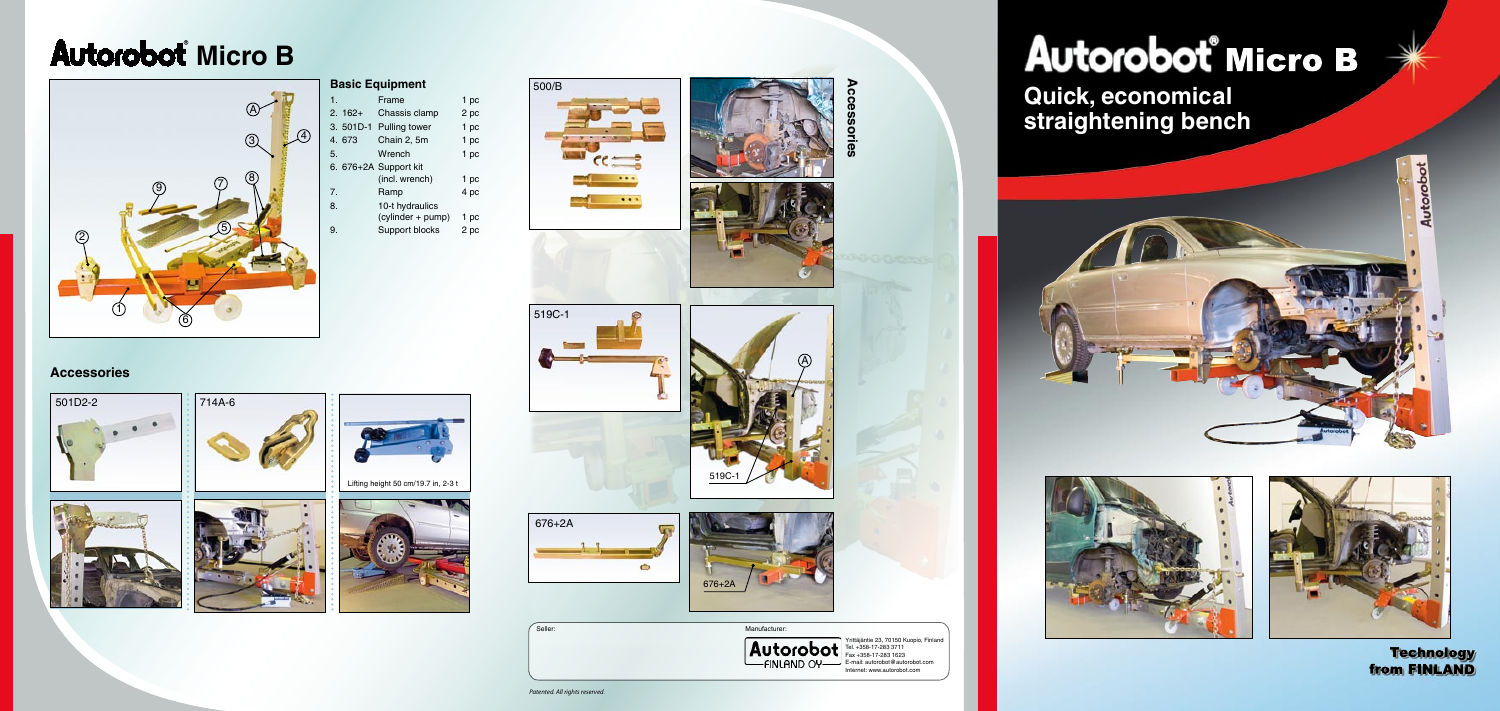*Patented. All rights reserved.*







Yrittäjäntie 23, 70150 Kuopio, Finland Tel. +358-17-283 3711 Fax +358-17-283 1623 E-mail: autorobot@autorobot.com Internet: www.autorobot.com

## Autorobot° Micro B

## **Autorobot Micro B**











| 500/B                   |
|-------------------------|
|                         |
|                         |
| $\overline{\mathbf{c}}$ |
|                         |
|                         |
|                         |
|                         |









**Seller:** Manufacturer:



**Accessories**





## **Basic Equipment**

| 1.         | Frame                 | 1 pc |
|------------|-----------------------|------|
| $2.162+$   | Chassis clamp         | 2 pc |
| $3.501D-1$ | <b>Pulling tower</b>  | 1 pc |
| 4.673      | Chain 2, 5m           | 1 pc |
| 5.         | Wrench                | 1 pc |
|            | 6. 676+2A Support kit |      |
|            | (incl. wrench)        | 1 pc |
| 7.         | Ramp                  | 4 pc |
| 8.         | 10-t hydraulics       |      |
|            | (cylinder + pump)     | 1 pc |
| 9.         | Support blocks        | 2 pc |



**Quick, economical straightening bench**







**Technology** from FINLAND

Lifting height 50 cm/19.7 in, 2-3 t